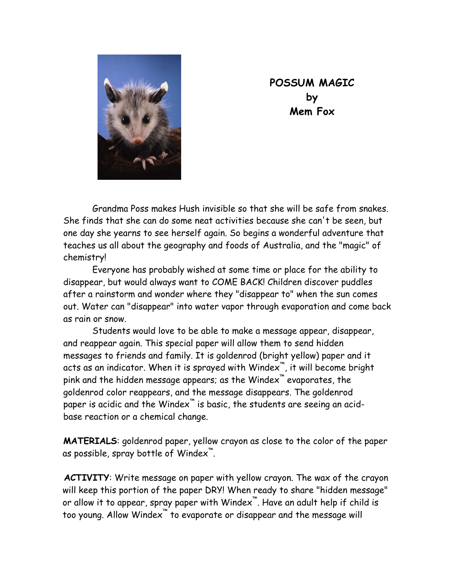

**POSSUM MAGIC by Mem Fox** 

Grandma Poss makes Hush invisible so that she will be safe from snakes. She finds that she can do some neat activities because she can't be seen, but one day she yearns to see herself again. So begins a wonderful adventure that teaches us all about the geography and foods of Australia, and the "magic" of chemistry!

Everyone has probably wished at some time or place for the ability to disappear, but would always want to COME BACK! Children discover puddles after a rainstorm and wonder where they "disappear to" when the sun comes out. Water can "disappear" into water vapor through evaporation and come back as rain or snow.

Students would love to be able to make a message appear, disappear, and reappear again. This special paper will allow them to send hidden messages to friends and family. It is goldenrod (bright yellow) paper and it acts as an indicator. When it is sprayed with Windex™, it will become bright pink and the hidden message appears; as the Windex™ evaporates, the goldenrod color reappears, and the message disappears. The goldenrod paper is acidic and the Windex<sup>™</sup> is basic, the students are seeing an acidbase reaction or a chemical change.

**MATERIALS**: goldenrod paper, yellow crayon as close to the color of the paper as possible, spray bottle of Windex™.

**ACTIVITY**: Write message on paper with yellow crayon. The wax of the crayon will keep this portion of the paper DRY! When ready to share "hidden message" or allow it to appear, spray paper with Windex™. Have an adult help if child is too young. Allow Windex<sup>™</sup> to evaporate or disappear and the message will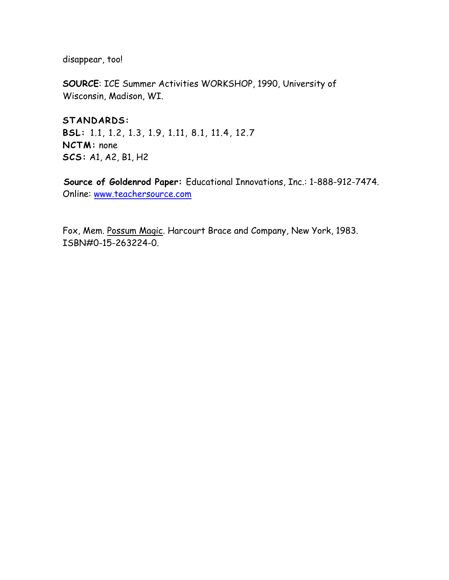disappear, too!

**SOURCE**: ICE Summer Activities WORKSHOP, 1990, University of Wisconsin, Madison, WI.

**STANDARDS: BSL:** 1.1, 1.2, 1.3, 1.9, 1.11, 8.1, 11.4, 12.7 **NCTM:** none **SCS:** A1, A2, B1, H2

 **Source of Goldenrod Paper:** Educational Innovations, Inc.: 1-888-912-7474. Online: [www.teachersource.com](http://www.teachersource.com/)

Fox, Mem. Possum Magic. Harcourt Brace and Company, New York, 1983. ISBN#0-15-263224-0.